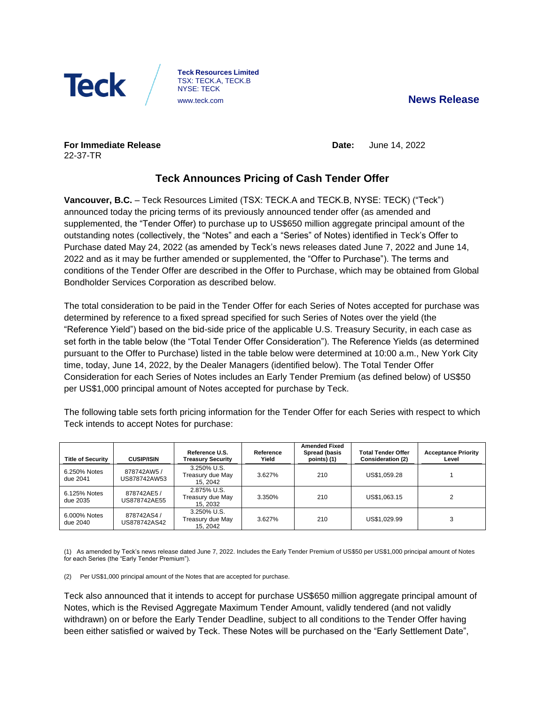



**Teck Resources Limited** TSX: TECK.A, TECK.B NYSE: TECK

**For Immediate Release** 22-37-TR

**Date:** June 14, 2022

# **Teck Announces Pricing of Cash Tender Offer**

**Vancouver, B.C.** – Teck Resources Limited (TSX: TECK.A and TECK.B, NYSE: TECK) ("Teck") announced today the pricing terms of its previously announced tender offer (as amended and supplemented, the "Tender Offer) to purchase up to US\$650 million aggregate principal amount of the outstanding notes (collectively, the "Notes" and each a "Series" of Notes) identified in Teck's Offer to Purchase dated May 24, 2022 (as amended by Teck's news releases dated June 7, 2022 and June 14, 2022 and as it may be further amended or supplemented, the "Offer to Purchase"). The terms and conditions of the Tender Offer are described in the Offer to Purchase, which may be obtained from Global Bondholder Services Corporation as described below.

The total consideration to be paid in the Tender Offer for each Series of Notes accepted for purchase was determined by reference to a fixed spread specified for such Series of Notes over the yield (the "Reference Yield") based on the bid-side price of the applicable U.S. Treasury Security, in each case as set forth in the table below (the "Total Tender Offer Consideration"). The Reference Yields (as determined pursuant to the Offer to Purchase) listed in the table below were determined at 10:00 a.m., New York City time, today, June 14, 2022, by the Dealer Managers (identified below). The Total Tender Offer Consideration for each Series of Notes includes an Early Tender Premium (as defined below) of US\$50 per US\$1,000 principal amount of Notes accepted for purchase by Teck.

The following table sets forth pricing information for the Tender Offer for each Series with respect to which Teck intends to accept Notes for purchase:

| <b>Title of Security</b> | <b>CUSIP/ISIN</b>          | Reference U.S.<br><b>Treasury Security</b>  | Reference<br>Yield | <b>Amended Fixed</b><br>Spread (basis<br>points) (1) | <b>Total Tender Offer</b><br><b>Consideration (2)</b> | <b>Acceptance Priority</b><br>Level |
|--------------------------|----------------------------|---------------------------------------------|--------------------|------------------------------------------------------|-------------------------------------------------------|-------------------------------------|
| 6.250% Notes<br>due 2041 | 878742AW5/<br>US878742AW53 | 3.250% U.S.<br>Treasury due May<br>15.2042  | 3.627%             | 210                                                  | US\$1,059.28                                          |                                     |
| 6.125% Notes<br>due 2035 | 878742AE5/<br>US878742AE55 | 2.875% U.S.<br>Treasury due May<br>15, 2032 | 3.350%             | 210                                                  | US\$1,063.15                                          |                                     |
| 6.000% Notes<br>due 2040 | 878742AS4/<br>US878742AS42 | 3.250% U.S.<br>Treasury due May<br>15, 2042 | 3.627%             | 210                                                  | US\$1.029.99                                          | 3                                   |

(1) As amended by Teck's news release dated June 7, 2022. Includes the Early Tender Premium of US\$50 per US\$1,000 principal amount of Notes for each Series (the "Early Tender Premium").

(2) Per US\$1,000 principal amount of the Notes that are accepted for purchase.

Teck also announced that it intends to accept for purchase US\$650 million aggregate principal amount of Notes, which is the Revised Aggregate Maximum Tender Amount, validly tendered (and not validly withdrawn) on or before the Early Tender Deadline, subject to all conditions to the Tender Offer having been either satisfied or waived by Teck. These Notes will be purchased on the "Early Settlement Date",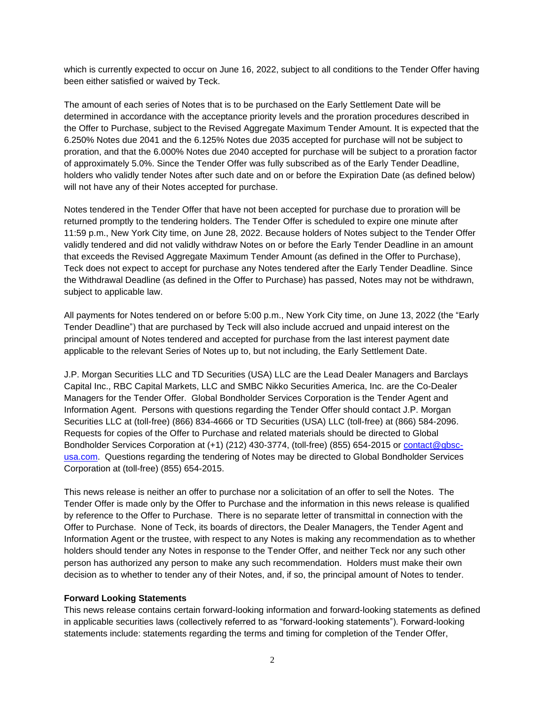which is currently expected to occur on June 16, 2022, subject to all conditions to the Tender Offer having been either satisfied or waived by Teck.

The amount of each series of Notes that is to be purchased on the Early Settlement Date will be determined in accordance with the acceptance priority levels and the proration procedures described in the Offer to Purchase, subject to the Revised Aggregate Maximum Tender Amount. It is expected that the 6.250% Notes due 2041 and the 6.125% Notes due 2035 accepted for purchase will not be subject to proration, and that the 6.000% Notes due 2040 accepted for purchase will be subject to a proration factor of approximately 5.0%. Since the Tender Offer was fully subscribed as of the Early Tender Deadline, holders who validly tender Notes after such date and on or before the Expiration Date (as defined below) will not have any of their Notes accepted for purchase.

Notes tendered in the Tender Offer that have not been accepted for purchase due to proration will be returned promptly to the tendering holders. The Tender Offer is scheduled to expire one minute after 11:59 p.m., New York City time, on June 28, 2022. Because holders of Notes subject to the Tender Offer validly tendered and did not validly withdraw Notes on or before the Early Tender Deadline in an amount that exceeds the Revised Aggregate Maximum Tender Amount (as defined in the Offer to Purchase), Teck does not expect to accept for purchase any Notes tendered after the Early Tender Deadline. Since the Withdrawal Deadline (as defined in the Offer to Purchase) has passed, Notes may not be withdrawn, subject to applicable law.

All payments for Notes tendered on or before 5:00 p.m., New York City time, on June 13, 2022 (the "Early Tender Deadline") that are purchased by Teck will also include accrued and unpaid interest on the principal amount of Notes tendered and accepted for purchase from the last interest payment date applicable to the relevant Series of Notes up to, but not including, the Early Settlement Date.

J.P. Morgan Securities LLC and TD Securities (USA) LLC are the Lead Dealer Managers and Barclays Capital Inc., RBC Capital Markets, LLC and SMBC Nikko Securities America, Inc. are the Co-Dealer Managers for the Tender Offer. Global Bondholder Services Corporation is the Tender Agent and Information Agent. Persons with questions regarding the Tender Offer should contact J.P. Morgan Securities LLC at (toll-free) (866) 834-4666 or TD Securities (USA) LLC (toll-free) at (866) 584-2096. Requests for copies of the Offer to Purchase and related materials should be directed to Global Bondholder Services Corporation at (+1) (212) 430-3774, (toll-free) (855) 654-2015 or [contact@gbsc](mailto:contact@gbsc-usa.com)[usa.com.](mailto:contact@gbsc-usa.com) Questions regarding the tendering of Notes may be directed to Global Bondholder Services Corporation at (toll-free) (855) 654-2015.

This news release is neither an offer to purchase nor a solicitation of an offer to sell the Notes. The Tender Offer is made only by the Offer to Purchase and the information in this news release is qualified by reference to the Offer to Purchase. There is no separate letter of transmittal in connection with the Offer to Purchase. None of Teck, its boards of directors, the Dealer Managers, the Tender Agent and Information Agent or the trustee, with respect to any Notes is making any recommendation as to whether holders should tender any Notes in response to the Tender Offer, and neither Teck nor any such other person has authorized any person to make any such recommendation. Holders must make their own decision as to whether to tender any of their Notes, and, if so, the principal amount of Notes to tender.

#### **Forward Looking Statements**

This news release contains certain forward-looking information and forward-looking statements as defined in applicable securities laws (collectively referred to as "forward-looking statements"). Forward-looking statements include: statements regarding the terms and timing for completion of the Tender Offer,